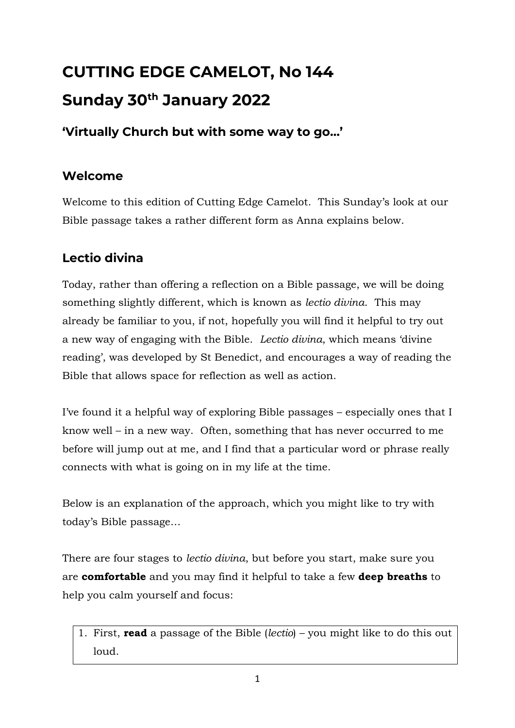# **CUTTING EDGE CAMELOT, No 144 Sunday 30th January 2022**

#### **'Virtually Church but with some way to go…'**

#### **Welcome**

Welcome to this edition of Cutting Edge Camelot. This Sunday's look at our Bible passage takes a rather different form as Anna explains below.

### **Lectio divina**

Today, rather than offering a reflection on a Bible passage, we will be doing something slightly different, which is known as *lectio divina*. This may already be familiar to you, if not, hopefully you will find it helpful to try out a new way of engaging with the Bible. *Lectio divina*, which means 'divine reading', was developed by St Benedict, and encourages a way of reading the Bible that allows space for reflection as well as action.

I've found it a helpful way of exploring Bible passages – especially ones that I know well – in a new way. Often, something that has never occurred to me before will jump out at me, and I find that a particular word or phrase really connects with what is going on in my life at the time.

Below is an explanation of the approach, which you might like to try with today's Bible passage…

There are four stages to *lectio divina*, but before you start, make sure you are **comfortable** and you may find it helpful to take a few **deep breaths** to help you calm yourself and focus:

1. First, **read** a passage of the Bible (*lectio*) – you might like to do this out loud.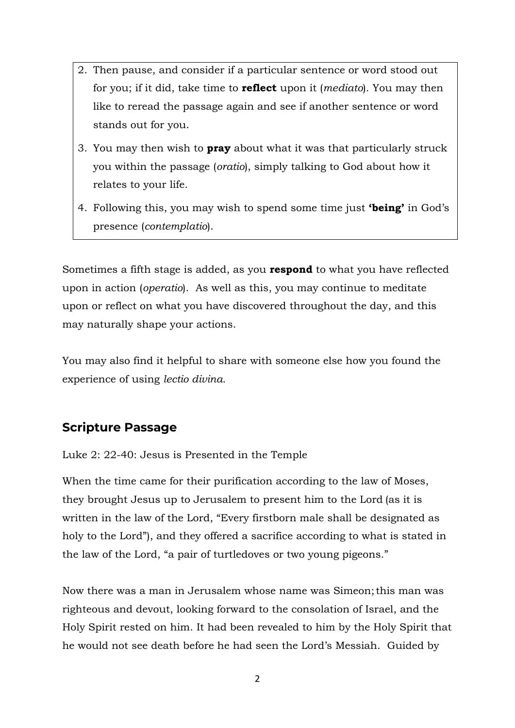- 2. Then pause, and consider if a particular sentence or word stood out for you; if it did, take time to **reflect** upon it (*mediato*). You may then like to reread the passage again and see if another sentence or word stands out for you.
- 3. You may then wish to **pray** about what it was that particularly struck you within the passage (*oratio*), simply talking to God about how it relates to your life.
- 4. Following this, you may wish to spend some time just **'being'** in God's presence (*contemplatio*).

Sometimes a fifth stage is added, as you **respond** to what you have reflected upon in action (*operatio*). As well as this, you may continue to meditate upon or reflect on what you have discovered throughout the day, and this may naturally shape your actions.

You may also find it helpful to share with someone else how you found the experience of using *lectio divina*.

#### **Scripture Passage**

Luke 2: 22-40: Jesus is Presented in the Temple

When the time came for their purification according to the law of Moses, they brought Jesus up to Jerusalem to present him to the Lord (as it is written in the law of the Lord, "Every firstborn male shall be designated as holy to the Lord"), and they offered a sacrifice according to what is stated in the law of the Lord, "a pair of turtledoves or two young pigeons."

Now there was a man in Jerusalem whose name was Simeon;this man was righteous and devout, looking forward to the consolation of Israel, and the Holy Spirit rested on him. It had been revealed to him by the Holy Spirit that he would not see death before he had seen the Lord's Messiah. Guided by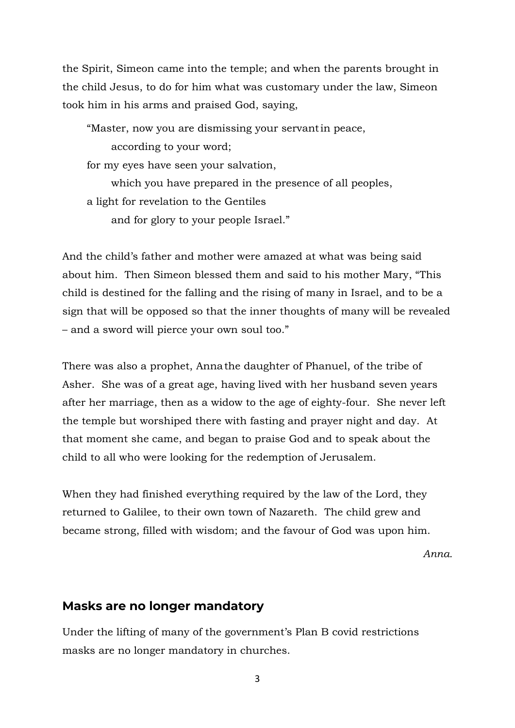the Spirit, Simeon came into the temple; and when the parents brought in the child Jesus, to do for him what was customary under the law, Simeon took him in his arms and praised God, saying,

"Master, now you are dismissing your servantin peace, according to your word; for my eyes have seen your salvation, which you have prepared in the presence of all peoples, a light for revelation to the Gentiles and for glory to your people Israel."

And the child's father and mother were amazed at what was being said about him. Then Simeon blessed them and said to his mother Mary, "This child is destined for the falling and the rising of many in Israel, and to be a sign that will be opposed so that the inner thoughts of many will be revealed – and a sword will pierce your own soul too."

There was also a prophet, Annathe daughter of Phanuel, of the tribe of Asher. She was of a great age, having lived with her husband seven years after her marriage, then as a widow to the age of eighty-four. She never left the temple but worshiped there with fasting and prayer night and day. At that moment she came, and began to praise God and to speak about the child to all who were looking for the redemption of Jerusalem.

When they had finished everything required by the law of the Lord, they returned to Galilee, to their own town of Nazareth. The child grew and became strong, filled with wisdom; and the favour of God was upon him.

*Anna.*

#### **Masks are no longer mandatory**

Under the lifting of many of the government's Plan B covid restrictions masks are no longer mandatory in churches.

3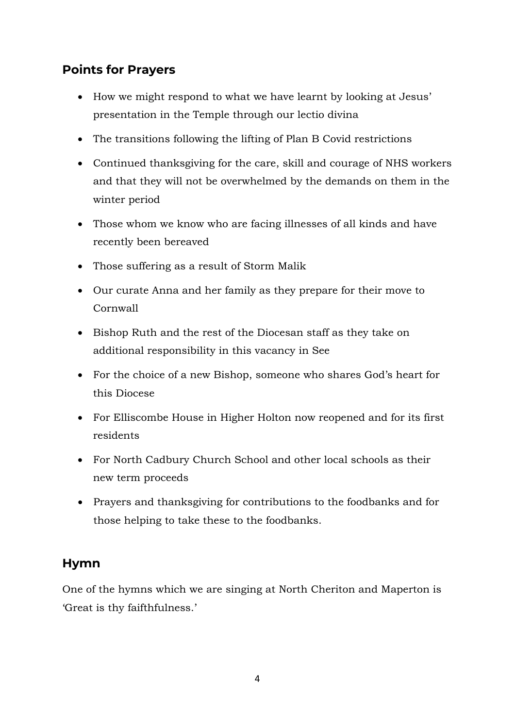#### **Points for Prayers**

- How we might respond to what we have learnt by looking at Jesus' presentation in the Temple through our lectio divina
- The transitions following the lifting of Plan B Covid restrictions
- Continued thanksgiving for the care, skill and courage of NHS workers and that they will not be overwhelmed by the demands on them in the winter period
- Those whom we know who are facing illnesses of all kinds and have recently been bereaved
- Those suffering as a result of Storm Malik
- Our curate Anna and her family as they prepare for their move to Cornwall
- Bishop Ruth and the rest of the Diocesan staff as they take on additional responsibility in this vacancy in See
- For the choice of a new Bishop, someone who shares God's heart for this Diocese
- For Elliscombe House in Higher Holton now reopened and for its first residents
- For North Cadbury Church School and other local schools as their new term proceeds
- Prayers and thanksgiving for contributions to the foodbanks and for those helping to take these to the foodbanks.

#### **Hymn**

One of the hymns which we are singing at North Cheriton and Maperton is 'Great is thy faifthfulness.'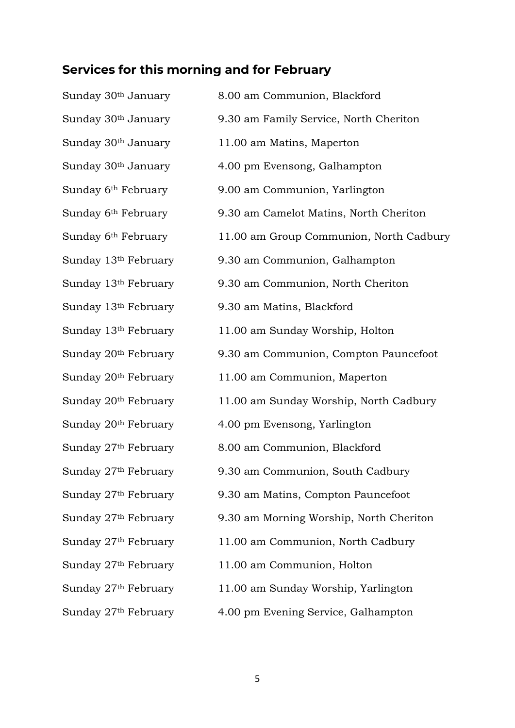## **Services for this morning and for February**

| Sunday 30 <sup>th</sup> January  | 8.00 am Communion, Blackford            |
|----------------------------------|-----------------------------------------|
| Sunday 30 <sup>th</sup> January  | 9.30 am Family Service, North Cheriton  |
| Sunday 30 <sup>th</sup> January  | 11.00 am Matins, Maperton               |
| Sunday 30 <sup>th</sup> January  | 4.00 pm Evensong, Galhampton            |
| Sunday 6 <sup>th</sup> February  | 9.00 am Communion, Yarlington           |
| Sunday 6 <sup>th</sup> February  | 9.30 am Camelot Matins, North Cheriton  |
| Sunday 6 <sup>th</sup> February  | 11.00 am Group Communion, North Cadbury |
| Sunday 13 <sup>th</sup> February | 9.30 am Communion, Galhampton           |
| Sunday 13th February             | 9.30 am Communion, North Cheriton       |
| Sunday 13 <sup>th</sup> February | 9.30 am Matins, Blackford               |
| Sunday 13 <sup>th</sup> February | 11.00 am Sunday Worship, Holton         |
| Sunday 20 <sup>th</sup> February | 9.30 am Communion, Compton Pauncefoot   |
| Sunday 20 <sup>th</sup> February | 11.00 am Communion, Maperton            |
| Sunday 20 <sup>th</sup> February | 11.00 am Sunday Worship, North Cadbury  |
| Sunday 20 <sup>th</sup> February | 4.00 pm Evensong, Yarlington            |
| Sunday 27 <sup>th</sup> February | 8.00 am Communion, Blackford            |
| Sunday 27th February             | 9.30 am Communion, South Cadbury        |
| Sunday 27th February             | 9.30 am Matins, Compton Pauncefoot      |
| Sunday 27 <sup>th</sup> February | 9.30 am Morning Worship, North Cheriton |
| Sunday 27th February             | 11.00 am Communion, North Cadbury       |
| Sunday 27th February             | 11.00 am Communion, Holton              |
| Sunday 27 <sup>th</sup> February | 11.00 am Sunday Worship, Yarlington     |
| Sunday 27 <sup>th</sup> February | 4.00 pm Evening Service, Galhampton     |